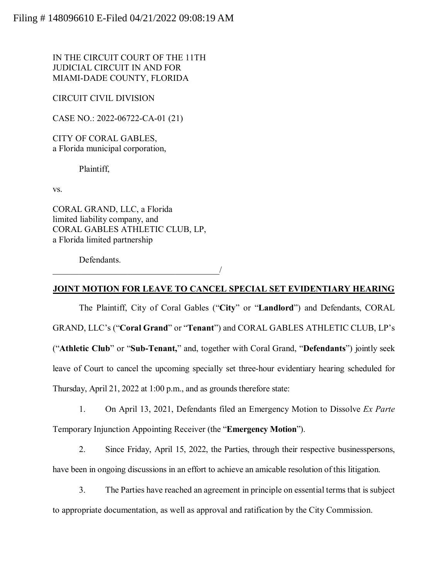IN THE CIRCUIT COURT OF THE 11TH JUDICIAL CIRCUIT IN AND FOR MIAMI-DADE COUNTY, FLORIDA

CIRCUIT CIVIL DIVISION

CASE NO.: 2022-06722-CA-01 (21)

CITY OF CORAL GABLES, a Florida municipal corporation,

Plaintiff,

vs.

CORAL GRAND, LLC, a Florida limited liability company, and CORAL GABLES ATHLETIC CLUB, LP, a Florida limited partnership

 $\overline{\phantom{a}}$ 

Defendants.

## **JOINT MOTION FOR LEAVE TO CANCEL SPECIAL SET EVIDENTIARY HEARING**

The Plaintiff, City of Coral Gables ("**City**" or "**Landlord**") and Defendants, CORAL GRAND, LLC's ("**Coral Grand**" or "**Tenant**") and CORAL GABLES ATHLETIC CLUB, LP's ("**Athletic Club**" or "**Sub-Tenant,**" and, together with Coral Grand, "**Defendants**") jointly seek leave of Court to cancel the upcoming specially set three-hour evidentiary hearing scheduled for Thursday, April 21, 2022 at 1:00 p.m., and as grounds therefore state:

1. On April 13, 2021, Defendants filed an Emergency Motion to Dissolve *Ex Parte* Temporary Injunction Appointing Receiver (the "**Emergency Motion**").

2. Since Friday, April 15, 2022, the Parties, through their respective businesspersons, have been in ongoing discussions in an effort to achieve an amicable resolution of this litigation.

3. The Parties have reached an agreement in principle on essential terms that is subject to appropriate documentation, as well as approval and ratification by the City Commission.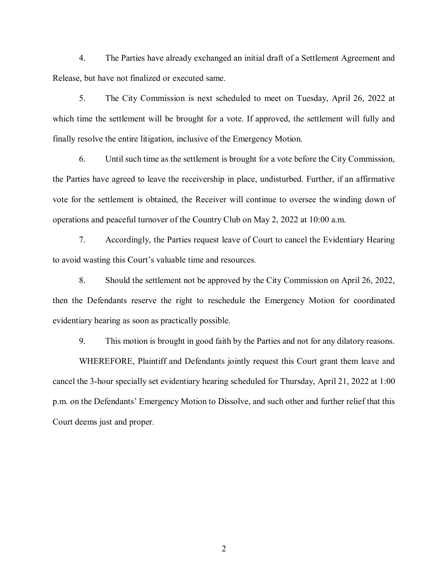4. The Parties have already exchanged an initial draft of a Settlement Agreement and Release, but have not finalized or executed same.

5. The City Commission is next scheduled to meet on Tuesday, April 26, 2022 at which time the settlement will be brought for a vote. If approved, the settlement will fully and finally resolve the entire litigation, inclusive of the Emergency Motion.

6. Until such time as the settlement is brought for a vote before the City Commission, the Parties have agreed to leave the receivership in place, undisturbed. Further, if an affirmative vote for the settlement is obtained, the Receiver will continue to oversee the winding down of operations and peaceful turnover of the Country Club on May 2, 2022 at 10:00 a.m.

7. Accordingly, the Parties request leave of Court to cancel the Evidentiary Hearing to avoid wasting this Court's valuable time and resources.

8. Should the settlement not be approved by the City Commission on April 26, 2022, then the Defendants reserve the right to reschedule the Emergency Motion for coordinated evidentiary hearing as soon as practically possible.

9. This motion is brought in good faith by the Parties and not for any dilatory reasons.

WHEREFORE, Plaintiff and Defendants jointly request this Court grant them leave and cancel the 3-hour specially set evidentiary hearing scheduled for Thursday, April 21, 2022 at 1:00 p.m. on the Defendants' Emergency Motion to Dissolve, and such other and further relief that this Court deems just and proper.

2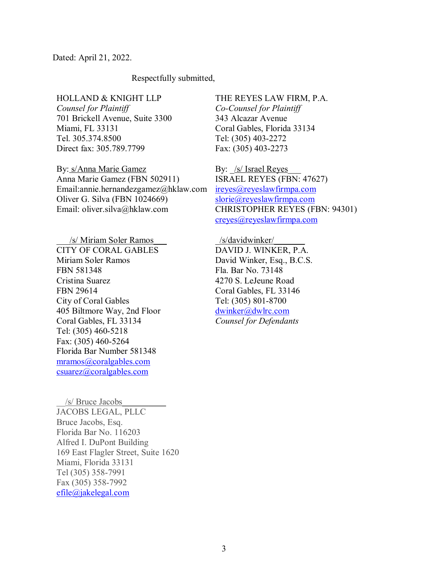Dated: April 21, 2022.

## Respectfully submitted,

HOLLAND & KNIGHT LLP *Counsel for Plaintiff* 701 Brickell Avenue, Suite 3300 Miami, FL 33131 Tel. 305.374.8500 Direct fax: 305.789.7799

By: s/Anna Marie Gamez Anna Marie Gamez (FBN 502911) Email:annie.hernandezgamez@hklaw.com Oliver G. Silva (FBN 1024669) Email: oliver.silva@hklaw.com

/s/ Miriam Soler Ramos CITY OF CORAL GABLES Miriam Soler Ramos FBN 581348 Cristina Suarez FBN 29614 City of Coral Gables 405 Biltmore Way, 2nd Floor Coral Gables, FL 33134 Tel: (305) 460-5218 Fax: (305) 460-5264 Florida Bar Number 581348 [mramos@coralgables.com](mailto:mramos@coralgables.com) csuarez@coralgables.com

THE REYES LAW FIRM, P.A. *Co-Counsel for Plaintiff* 343 Alcazar Avenue Coral Gables, Florida 33134

Tel: (305) 403-2272 Fax: (305) 403-2273

By: <u>/s/ Israel Reyes</u> ISRAEL REYES (FBN: 47627) [ireyes@reyeslawfirmpa.com](mailto:ireyes@reyeslawfirmpa.com)  [slorie@reyeslawfirmpa.com](mailto:slorie@reyeslawfirmpa.com)  CHRISTOPHER REYES (FBN: 94301) [creyes@reyeslawfirmpa.com](mailto:creyes@reyeslawfirmpa.com)

/s/davidwinker/ DAVID J. WINKER, P.A. David Winker, Esq., B.C.S. Fla. Bar No. 73148 4270 S. LeJeune Road Coral Gables, FL 33146 Tel: (305) 801-8700 [dwinker@dwlrc.com](mailto:dwinker@dwlrc.com) *Counsel for Defendants*

\_\_/s/ Bruce Jacobs\_\_\_\_\_\_\_\_\_\_ JACOBS LEGAL, PLLC Bruce Jacobs, Esq. Florida Bar No. 116203 Alfred I. DuPont Building 169 East Flagler Street, Suite 1620 Miami, Florida 33131 Tel (305) 358-7991 Fax (305) 358-7992 [efile@jakelegal.com](mailto:efile@jakelegal.com)